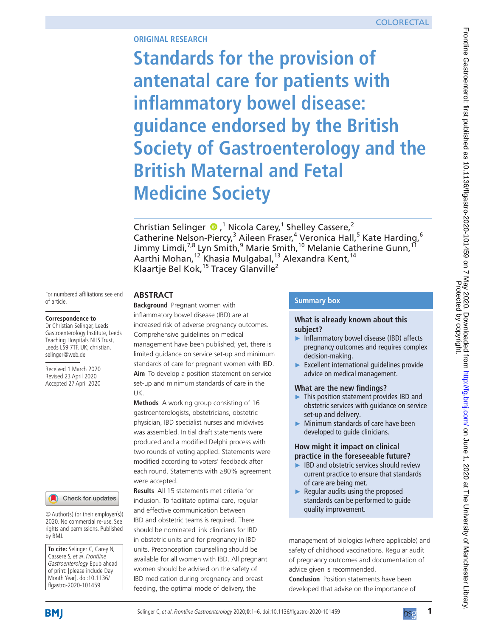# **Original research**

**Standards for the provision of antenatal care for patients with inflammatory bowel disease: guidance endorsed by the British Society of Gastroenterology and the British Maternal and Fetal Medicine Society**

ChristianSelinger  $\bullet$ ,<sup>1</sup> Nicola Carey,<sup>1</sup> Shelley Cassere,<sup>2</sup> Catherine Nelson-Piercy,<sup>3</sup> Aileen Fraser,<sup>4</sup> Veronica Hall,<sup>5</sup> Kate Harding,<sup>6</sup> Jimmy Limdi,<sup>7,8</sup> Lyn Smith,<sup>9</sup> Marie Smith,<sup>10</sup> Melanie Catherine Gunn,<sup>11</sup> Aarthi Mohan, <sup>12</sup> Khasia Mulgabal, <sup>13</sup> Alexandra Kent, <sup>14</sup> Klaartje Bel Kok, $15$  Tracey Glanville<sup>2</sup>

For numbered affiliations see end of article.

#### **Correspondence to**

Dr Christian Selinger, Leeds Gastroenterology Institute, Leeds Teaching Hospitals NHS Trust, Leeds LS9 7TF, UK; christian. selinger@web.de

Received 1 March 2020 Revised 23 April 2020 Accepted 27 April 2020



© Author(s) (or their employer(s)) 2020. No commercial re-use. See rights and permissions. Published by BMJ.

**To cite:** Selinger C, Carey N, Cassere S, et al. Frontline Gastroenterology Epub ahead of print: [please include Day Month Year]. doi:10.1136/ flgastro-2020-101459

## **Abstract**

**Background** Pregnant women with inflammatory bowel disease (IBD) are at increased risk of adverse pregnancy outcomes. Comprehensive guidelines on medical management have been published; yet, there is limited guidance on service set-up and minimum standards of care for pregnant women with IBD. **Aim** To develop a position statement on service set-up and minimum standards of care in the UK.

**Methods** A working group consisting of 16 gastroenterologists, obstetricians, obstetric physician, IBD specialist nurses and midwives was assembled. Initial draft statements were produced and a modified Delphi process with two rounds of voting applied. Statements were modified according to voters' feedback after each round. Statements with ≥80% agreement were accepted.

**Results** All 15 statements met criteria for inclusion. To facilitate optimal care, regular and effective communication between IBD and obstetric teams is required. There should be nominated link clinicians for IBD in obstetric units and for pregnancy in IBD units. Preconception counselling should be available for all women with IBD. All pregnant women should be advised on the safety of IBD medication during pregnancy and breast feeding, the optimal mode of delivery, the

## **Summary box**

### **What is already known about this subject?**

- ► Inflammatory bowel disease (IBD) affects pregnancy outcomes and requires complex decision-making.
- ► Excellent international guidelines provide advice on medical management.

### **What are the new findings?**

- This position statement provides IBD and obstetric services with guidance on service set-up and delivery.
- ► Minimum standards of care have been developed to guide clinicians.

# **How might it impact on clinical practice in the foreseeable future?**

- IBD and obstetric services should review current practice to ensure that standards of care are being met.
- ► Regular audits using the proposed standards can be performed to guide quality improvement.

management of biologics (where applicable) and safety of childhood vaccinations. Regular audit of pregnancy outcomes and documentation of advice given is recommended.

**Conclusion** Position statements have been developed that advise on the importance of

**BMJ** 

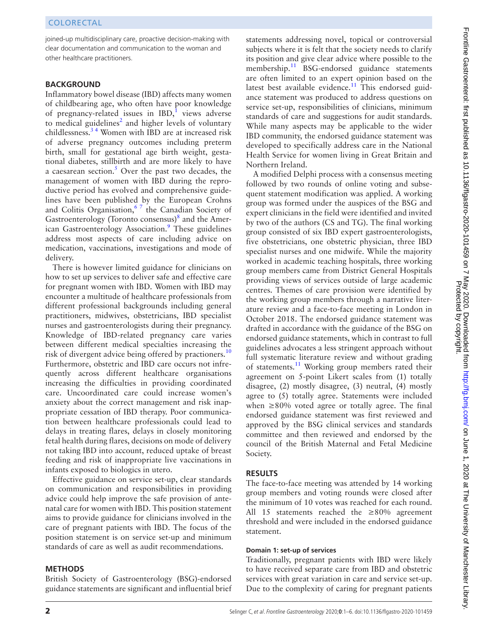joined-up multidisciplinary care, proactive decision-making with clear documentation and communication to the woman and other healthcare practitioners.

# **BACKGROUND**

Inflammatory bowel disease (IBD) affects many women of childbearing age, who often have poor knowledge of pregnancy-related issues in  $IBD<sub>1</sub><sup>1</sup>$  $IBD<sub>1</sub><sup>1</sup>$  $IBD<sub>1</sub><sup>1</sup>$  views adverse to medical guidelines<sup>2</sup> and higher levels of voluntary childlessness.[3 4](#page-5-2) Women with IBD are at increased risk of adverse pregnancy outcomes including preterm birth, small for gestational age birth weight, gestational diabetes, stillbirth and are more likely to have a caesarean section.<sup>[5](#page-5-3)</sup> Over the past two decades, the management of women with IBD during the reproductive period has evolved and comprehensive guidelines have been published by the European Crohns and Colitis Organisation,  $67$  the Canadian Society of Gastroenterology (Toronto consensus)<sup>[8](#page-5-5)</sup> and the Amer-ican Gastroenterology Association.<sup>[9](#page-5-6)</sup> These guidelines address most aspects of care including advice on medication, vaccinations, investigations and mode of delivery.

There is however limited guidance for clinicians on how to set up services to deliver safe and effective care for pregnant women with IBD. Women with IBD may encounter a multitude of healthcare professionals from different professional backgrounds including general practitioners, midwives, obstetricians, IBD specialist nurses and gastroenterologists during their pregnancy. Knowledge of IBD-related pregnancy care varies between different medical specialties increasing the risk of divergent advice being offered by practioners.<sup>[10](#page-5-7)</sup> Furthermore, obstetric and IBD care occurs not infrequently across different healthcare organisations increasing the difficulties in providing coordinated care. Uncoordinated care could increase women's anxiety about the correct management and risk inappropriate cessation of IBD therapy. Poor communication between healthcare professionals could lead to delays in treating flares, delays in closely monitoring fetal health during flares, decisions on mode of delivery not taking IBD into account, reduced uptake of breast feeding and risk of inappropriate live vaccinations in infants exposed to biologics in utero.

Effective guidance on service set-up, clear standards on communication and responsibilities in providing advice could help improve the safe provision of antenatal care for women with IBD. This position statement aims to provide guidance for clinicians involved in the care of pregnant patients with IBD. The focus of the position statement is on service set-up and minimum standards of care as well as audit recommendations.

# **Methods**

British Society of Gastroenterology (BSG)-endorsed guidance statements are significant and influential brief

statements addressing novel, topical or controversial subjects where it is felt that the society needs to clarify its position and give clear advice where possible to the membership.<sup>[11](#page-5-8)</sup> BSG-endorsed guidance statements are often limited to an expert opinion based on the latest best available evidence.<sup>11</sup> This endorsed guidance statement was produced to address questions on service set-up, responsibilities of clinicians, minimum standards of care and suggestions for audit standards. While many aspects may be applicable to the wider IBD community, the endorsed guidance statement was developed to specifically address care in the National Health Service for women living in Great Britain and Northern Ireland.

A modified Delphi process with a consensus meeting followed by two rounds of online voting and subsequent statement modification was applied. A working group was formed under the auspices of the BSG and expert clinicians in the field were identified and invited by two of the authors (CS and TG). The final working group consisted of six IBD expert gastroenterologists, five obstetricians, one obstetric physician, three IBD specialist nurses and one midwife. While the majority worked in academic teaching hospitals, three working group members came from District General Hospitals providing views of services outside of large academic centres. Themes of care provision were identified by the working group members through a narrative literature review and a face-to-face meeting in London in October 2018. The endorsed guidance statement was drafted in accordance with the guidance of the BSG on endorsed guidance statements, which in contrast to full guidelines advocates a less stringent approach without full systematic literature review and without grading of statements.<sup>11</sup> Working group members rated their agreement on 5-point Likert scales from (1) totally disagree, (2) mostly disagree, (3) neutral, (4) mostly agree to (5) totally agree. Statements were included when ≥80% voted agree or totally agree. The final endorsed guidance statement was first reviewed and approved by the BSG clinical services and standards committee and then reviewed and endorsed by the council of the British Maternal and Fetal Medicine Society.

# **Results**

The face-to-face meeting was attended by 14 working group members and voting rounds were closed after the minimum of 10 votes was reached for each round. All 15 statements reached the  $\geq 80\%$  agreement threshold and were included in the endorsed guidance statement.

# **Domain 1: set-up of services**

Traditionally, pregnant patients with IBD were likely to have received separate care from IBD and obstetric services with great variation in care and service set-up. Due to the complexity of caring for pregnant patients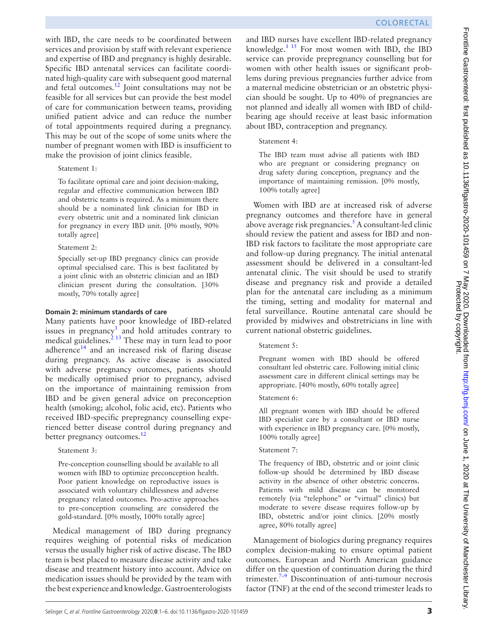with IBD, the care needs to be coordinated between services and provision by staff with relevant experience and expertise of IBD and pregnancy is highly desirable. Specific IBD antenatal services can facilitate coordinated high-quality care with subsequent good maternal and fetal outcomes. $12$  Joint consultations may not be feasible for all services but can provide the best model of care for communication between teams, providing unified patient advice and can reduce the number of total appointments required during a pregnancy. This may be out of the scope of some units where the number of pregnant women with IBD is insufficient to make the provision of joint clinics feasible.

## Statement 1:

To facilitate optimal care and joint decision-making, regular and effective communication between IBD and obstetric teams is required. As a minimum there should be a nominated link clinician for IBD in every obstetric unit and a nominated link clinician for pregnancy in every IBD unit. [0% mostly, 90% totally agree]

## Statement 2:

Specially set-up IBD pregnancy clinics can provide optimal specialised care. This is best facilitated by a joint clinic with an obstetric clinician and an IBD clinician present during the consultation. [30% mostly, 70% totally agree]

## **Domain 2: minimum standards of care**

Many patients have poor knowledge of IBD-related issues in pregnancy<sup>[1](#page-5-0)</sup> and hold attitudes contrary to medical guidelines. $2^{13}$  These may in turn lead to poor adherence $^{14}$  $^{14}$  $^{14}$  and an increased risk of flaring disease during pregnancy. As active disease is associated with adverse pregnancy outcomes, patients should be medically optimised prior to pregnancy, advised on the importance of maintaining remission from IBD and be given general advice on preconception health (smoking; alcohol, folic acid, etc). Patients who received IBD-specific prepregnancy counselling experienced better disease control during pregnancy and better pregnancy outcomes.<sup>[12](#page-5-9)</sup>

# Statement 3:

Pre-conception counselling should be available to all women with IBD to optimize preconception health. Poor patient knowledge on reproductive issues is associated with voluntary childlessness and adverse pregnancy related outcomes. Pro-active approaches to pre-conception counseling are considered the gold-standard. [0% mostly, 100% totally agree]

Medical management of IBD during pregnancy requires weighing of potential risks of medication versus the usually higher risk of active disease. The IBD team is best placed to measure disease activity and take disease and treatment history into account. Advice on medication issues should be provided by the team with the best experience and knowledge. Gastroenterologists

and IBD nurses have excellent IBD-related pregnancy knowledge. $115$  For most women with IBD, the IBD service can provide prepregnancy counselling but for women with other health issues or significant problems during previous pregnancies further advice from a maternal medicine obstetrician or an obstetric physician should be sought. Up to 40% of pregnancies are not planned and ideally all women with IBD of childbearing age should receive at least basic information about IBD, contraception and pregnancy.

### Statement 4:

The IBD team must advise all patients with IBD who are pregnant or considering pregnancy on drug safety during conception, pregnancy and the importance of maintaining remission. [0% mostly, 100% totally agree]

Women with IBD are at increased risk of adverse pregnancy outcomes and therefore have in general above average risk pregnancies.<sup>[5](#page-5-3)</sup> A consultant-led clinic should review the patient and assess for IBD and non-IBD risk factors to facilitate the most appropriate care and follow-up during pregnancy. The initial antenatal assessment should be delivered in a consultant-led antenatal clinic. The visit should be used to stratify disease and pregnancy risk and provide a detailed plan for the antenatal care including as a minimum the timing, setting and modality for maternal and fetal surveillance. Routine antenatal care should be provided by midwives and obstretricians in line with current national obstetric guidelines.

# Statement 5:

Pregnant women with IBD should be offered consultant led obstetric care. Following initial clinic assessment care in different clinical settings may be appropriate. [40% mostly, 60% totally agree]

# Statement 6:

All pregnant women with IBD should be offered IBD specialist care by a consultant or IBD nurse with experience in IBD pregnancy care. [0% mostly, 100% totally agree]

# Statement 7:

The frequency of IBD, obstetric and or joint clinic follow-up should be determined by IBD disease activity in the absence of other obstetric concerns. Patients with mild disease can be monitored remotely (via "telephone" or "virtual" clinics) but moderate to severe disease requires follow-up by IBD, obstetric and/or joint clinics. [20% mostly agree, 80% totally agree]

Management of biologics during pregnancy requires complex decision-making to ensure optimal patient outcomes. European and North American guidance differ on the question of continuation during the third trimester. $7-9$  Discontinuation of anti-tumour necrosis factor (TNF) at the end of the second trimester leads to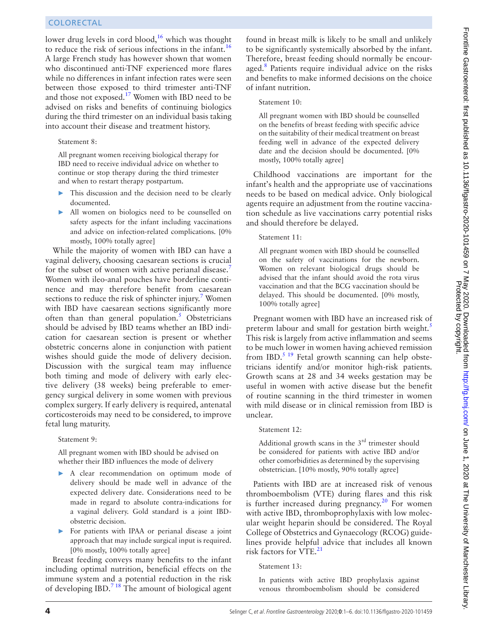lower drug levels in cord blood,<sup>[16](#page-5-12)</sup> which was thought to reduce the risk of serious infections in the infant.<sup>16</sup> A large French study has however shown that women who discontinued anti-TNF experienced more flares while no differences in infant infection rates were seen between those exposed to third trimester anti-TNF and those not exposed.[17](#page-5-13) Women with IBD need to be advised on risks and benefits of continuing biologics during the third trimester on an individual basis taking into account their disease and treatment history.

#### Statement 8:

All pregnant women receiving biological therapy for IBD need to receive individual advice on whether to continue or stop therapy during the third trimester and when to restart therapy postpartum.

- This discussion and the decision need to be clearly documented.
- All women on biologics need to be counselled on safety aspects for the infant including vaccinations and advice on infection-related complications. [0% mostly, 100% totally agree]

While the majority of women with IBD can have a vaginal delivery, choosing caesarean sections is crucial for the subset of women with active perianal disease.<sup>[7](#page-5-11)</sup> Women with ileo-anal pouches have borderline continence and may therefore benefit from caesarean sections to reduce the risk of sphincter injury.<sup>[7](#page-5-11)</sup> Women with IBD have caesarean sections significantly more often than than general population.<sup>[5](#page-5-3)</sup> Obstetricians should be advised by IBD teams whether an IBD indication for caesarean section is present or whether obstetric concerns alone in conjunction with patient wishes should guide the mode of delivery decision. Discussion with the surgical team may influence both timing and mode of delivery with early elective delivery (38 weeks) being preferable to emergency surgical delivery in some women with previous complex surgery. If early delivery is required, antenatal corticosteroids may need to be considered, to improve fetal lung maturity.

Statement 9:

All pregnant women with IBD should be advised on whether their IBD influences the mode of delivery

- A clear recommendation on optimum mode of delivery should be made well in advance of the expected delivery date. Considerations need to be made in regard to absolute contra-indications for a vaginal delivery. Gold standard is a joint IBDobstetric decision.
- ► For patients with IPAA or perianal disease a joint approach that may include surgical input is required. [0% mostly, 100% totally agree]

Breast feeding conveys many benefits to the infant including optimal nutrition, beneficial effects on the immune system and a potential reduction in the risk of developing IBD.<sup>718</sup> The amount of biological agent

found in breast milk is likely to be small and unlikely to be significantly systemically absorbed by the infant. Therefore, breast feeding should normally be encouraged.<sup>8</sup> Patients require individual advice on the risks and benefits to make informed decisions on the choice of infant nutrition.

#### Statement 10:

All pregnant women with IBD should be counselled on the benefits of breast feeding with specific advice on the suitability of their medical treatment on breast feeding well in advance of the expected delivery date and the decision should be documented. [0% mostly, 100% totally agree]

Childhood vaccinations are important for the infant's health and the appropriate use of vaccinations needs to be based on medical advice. Only biological agents require an adjustment from the routine vaccination schedule as live vaccinations carry potential risks and should therefore be delayed.

#### Statement 11:

All pregnant women with IBD should be counselled on the safety of vaccinations for the newborn. Women on relevant biological drugs should be advised that the infant should avoid the rota virus vaccination and that the BCG vaccination should be delayed. This should be documented. [0% mostly, 100% totally agree]

Pregnant women with IBD have an increased risk of preterm labour and small for gestation birth weight.<sup>[5](#page-5-3)</sup> This risk is largely from active inflammation and seems to be much lower in women having achieved remission from IBD.<sup>5 19</sup> Fetal growth scanning can help obstetricians identify and/or monitor high-risk patients. Growth scans at 28 and 34 weeks gestation may be useful in women with active disease but the benefit of routine scanning in the third trimester in women with mild disease or in clinical remission from IBD is unclear.

#### Statement 12:

Additional growth scans in the  $3<sup>rd</sup>$  trimester should be considered for patients with active IBD and/or other comorbidities as determined by the supervising obstetrician. [10% mostly, 90% totally agree]

Patients with IBD are at increased risk of venous thromboembolism (VTE) during flares and this risk is further increased during pregnancy.<sup>[20](#page-5-14)</sup> For women with active IBD, thromboprophylaxis with low molecular weight heparin should be considered. The Royal College of Obstetrics and Gynaecology (RCOG) guidelines provide helpful advice that includes all known risk factors for VTE.<sup>[21](#page-5-15)</sup>

### Statement 13:

In patients with active IBD prophylaxis against venous thromboembolism should be considered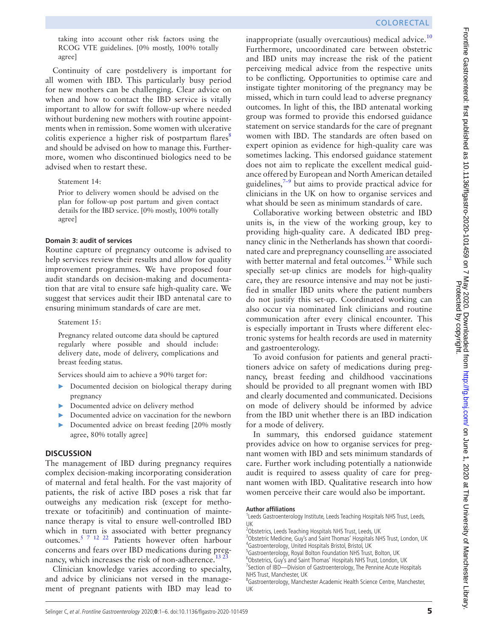taking into account other risk factors using the RCOG VTE guidelines. [0% mostly, 100% totally agree]

Continuity of care postdelivery is important for all women with IBD. This particularly busy period for new mothers can be challenging. Clear advice on when and how to contact the IBD service is vitally important to allow for swift follow-up where needed without burdening new mothers with routine appointments when in remission. Some women with ulcerative colitis experience a higher risk of postpartum flares<sup>[8](#page-5-5)</sup> and should be advised on how to manage this. Furthermore, women who discontinued biologics need to be advised when to restart these.

#### Statement 14:

Prior to delivery women should be advised on the plan for follow-up post partum and given contact details for the IBD service. [0% mostly, 100% totally agree]

### **Domain 3: audit of services**

Routine capture of pregnancy outcome is advised to help services review their results and allow for quality improvement programmes. We have proposed four audit standards on decision-making and documentation that are vital to ensure safe high-quality care. We suggest that services audit their IBD antenatal care to ensuring minimum standards of care are met.

Statement 15:

Pregnancy related outcome data should be captured regularly where possible and should include: delivery date, mode of delivery, complications and breast feeding status.

Services should aim to achieve a 90% target for:

- ► Documented decision on biological therapy during pregnancy
- ► Documented advice on delivery method
- ► Documented advice on vaccination for the newborn
- ► Documented advice on breast feeding [20% mostly agree, 80% totally agree]

### **Discussion**

The management of IBD during pregnancy requires complex decision-making incorporating consideration of maternal and fetal health. For the vast majority of patients, the risk of active IBD poses a risk that far outweighs any medication risk (except for methotrexate or tofacitinib) and continuation of maintenance therapy is vital to ensure well-controlled IBD which in turn is associated with better pregnancy outcomes.[5 7 12 22](#page-5-3) Patients however often harbour concerns and fears over IBD medications during preg-nancy, which increases the risk of non-adherence.<sup>[13 23](#page-5-16)</sup>

Clinician knowledge varies according to specialty, and advice by clinicians not versed in the management of pregnant patients with IBD may lead to

inappropriate (usually overcautious) medical advice.<sup>10</sup> Furthermore, uncoordinated care between obstetric and IBD units may increase the risk of the patient perceiving medical advice from the respective units to be conflicting. Opportunities to optimise care and instigate tighter monitoring of the pregnancy may be missed, which in turn could lead to adverse pregnancy outcomes. In light of this, the IBD antenatal working group was formed to provide this endorsed guidance statement on service standards for the care of pregnant women with IBD. The standards are often based on expert opinion as evidence for high-quality care was sometimes lacking. This endorsed guidance statement does not aim to replicate the excellent medical guidance offered by European and North American detailed guidelines, $7-9$  but aims to provide practical advice for clinicians in the UK on how to organise services and what should be seen as minimum standards of care.

Collaborative working between obstetric and IBD units is, in the view of the working group, key to providing high-quality care. A dedicated IBD pregnancy clinic in the Netherlands has shown that coordinated care and prepregnancy counselling are associated with better maternal and fetal outcomes.<sup>[12](#page-5-9)</sup> While such specially set-up clinics are models for high-quality care, they are resource intensive and may not be justified in smaller IBD units where the patient numbers do not justify this set-up. Coordinated working can also occur via nominated link clinicians and routine communication after every clinical encounter. This is especially important in Trusts where different electronic systems for health records are used in maternity and gastroenterology.

To avoid confusion for patients and general practitioners advice on safety of medications during pregnancy, breast feeding and childhood vaccinations should be provided to all pregnant women with IBD and clearly documented and communicated. Decisions on mode of delivery should be informed by advice from the IBD unit whether there is an IBD indication for a mode of delivery.

In summary, this endorsed guidance statement provides advice on how to organise services for pregnant women with IBD and sets minimum standards of care. Further work including potentially a nationwide audit is required to assess quality of care for pregnant women with IBD. Qualitative research into how women perceive their care would also be important.

#### **Author affiliations**

UK

<sup>2</sup>Obstetrics, Leeds Teaching Hospitals NHS Trust, Leeds, UK

- <sup>5</sup>Gastroenterology, Royal Bolton Foundation NHS Trust, Bolton, UK
- 6 Obstetrics, Guy's and Saint Thomas' Hospitals NHS Trust, London, UK <sup>7</sup>Section of IBD-Division of Gastroenterology, The Pennine Acute Hospitals

<sup>&</sup>lt;sup>1</sup> Leeds Gastroenterology Institute, Leeds Teaching Hospitals NHS Trust, Leeds, UK

<sup>&</sup>lt;sup>3</sup>Obstetric Medicine, Guy's and Saint Thomas' Hospitals NHS Trust, London, UK 4 Gastroenterology, United Hospitals Bristol, Bristol, UK

NHS Trust, Manchester, UK <sup>8</sup>Gastroenterology, Manchester Academic Health Science Centre, Manchester,